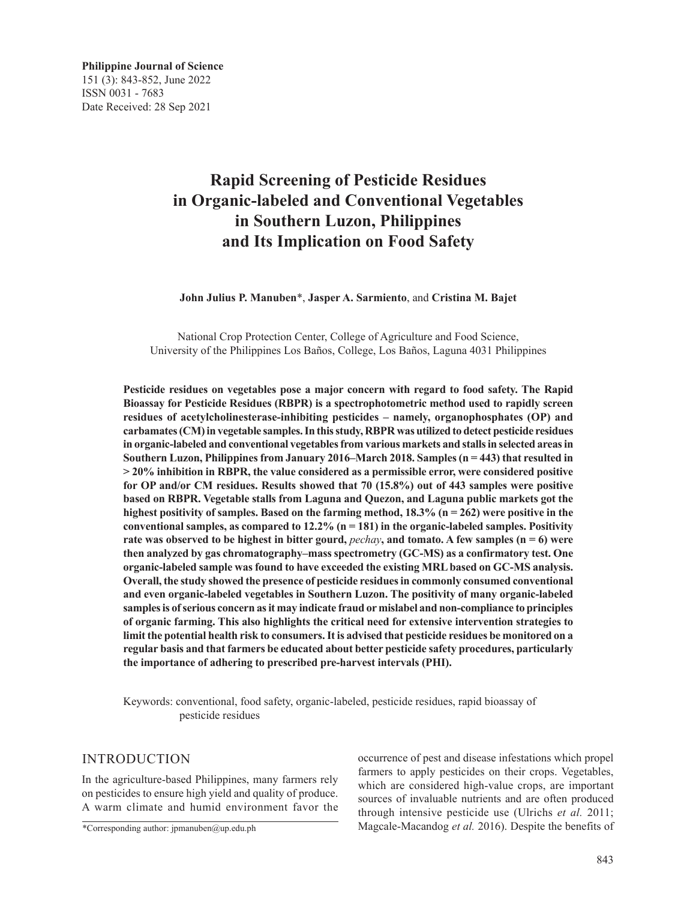# **Rapid Screening of Pesticide Residues in Organic-labeled and Conventional Vegetables in Southern Luzon, Philippines and Its Implication on Food Safety**

**John Julius P. Manuben**\*, **Jasper A. Sarmiento**, and **Cristina M. Bajet**

National Crop Protection Center, College of Agriculture and Food Science, University of the Philippines Los Baños, College, Los Baños, Laguna 4031 Philippines

**Pesticide residues on vegetables pose a major concern with regard to food safety. The Rapid Bioassay for Pesticide Residues (RBPR) is a spectrophotometric method used to rapidly screen residues of acetylcholinesterase-inhibiting pesticides – namely, organophosphates (OP) and carbamates (CM) in vegetable samples. In this study, RBPR was utilized to detect pesticide residues in organic-labeled and conventional vegetables from various markets and stalls in selected areas in Southern Luzon, Philippines from January 2016–March 2018. Samples (n = 443) that resulted in > 20% inhibition in RBPR, the value considered as a permissible error, were considered positive for OP and/or CM residues. Results showed that 70 (15.8%) out of 443 samples were positive based on RBPR. Vegetable stalls from Laguna and Quezon, and Laguna public markets got the highest positivity of samples. Based on the farming method, 18.3% (n = 262) were positive in the conventional samples, as compared to 12.2% (n = 181) in the organic-labeled samples. Positivity rate was observed to be highest in bitter gourd,** *pechay***, and tomato. A few samples (n = 6) were then analyzed by gas chromatography–mass spectrometry (GC-MS) as a confirmatory test. One organic-labeled sample was found to have exceeded the existing MRL based on GC-MS analysis. Overall, the study showed the presence of pesticide residues in commonly consumed conventional and even organic-labeled vegetables in Southern Luzon. The positivity of many organic-labeled samples is of serious concern as it may indicate fraud or mislabel and non-compliance to principles of organic farming. This also highlights the critical need for extensive intervention strategies to limit the potential health risk to consumers. It is advised that pesticide residues be monitored on a regular basis and that farmers be educated about better pesticide safety procedures, particularly the importance of adhering to prescribed pre-harvest intervals (PHI).**

Keywords: conventional, food safety, organic-labeled, pesticide residues, rapid bioassay of pesticide residues

### INTRODUCTION

In the agriculture-based Philippines, many farmers rely on pesticides to ensure high yield and quality of produce. A warm climate and humid environment favor the occurrence of pest and disease infestations which propel farmers to apply pesticides on their crops. Vegetables, which are considered high-value crops, are important sources of invaluable nutrients and are often produced through intensive pesticide use (Ulrichs *et al.* 2011; Magcale-Macandog *et al.* 2016). Despite the benefits of

<sup>\*</sup>Corresponding author: jpmanuben@up.edu.ph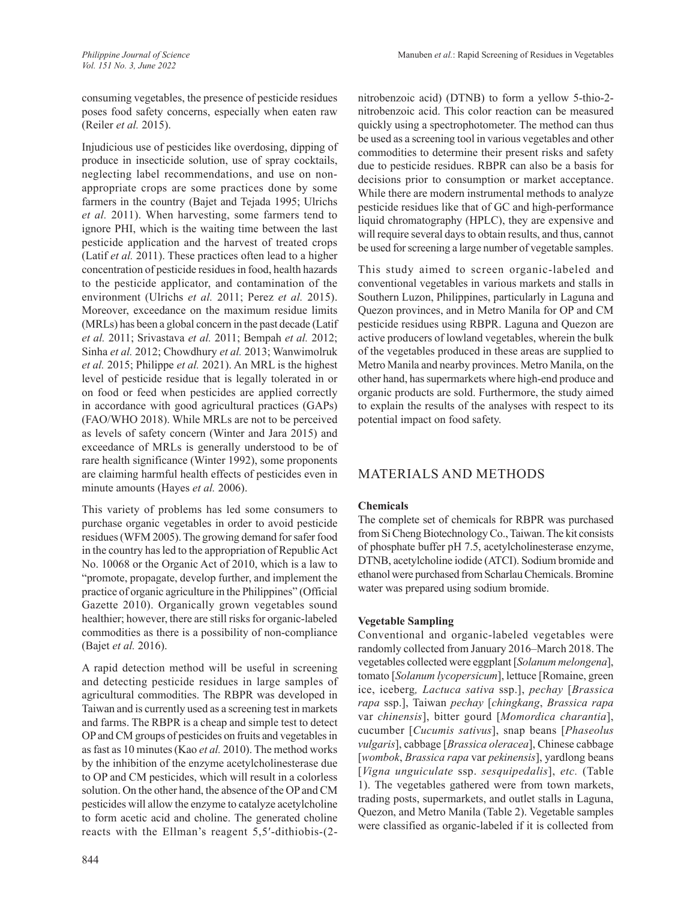consuming vegetables, the presence of pesticide residues poses food safety concerns, especially when eaten raw (Reiler *et al.* 2015).

Injudicious use of pesticides like overdosing, dipping of produce in insecticide solution, use of spray cocktails, neglecting label recommendations, and use on nonappropriate crops are some practices done by some farmers in the country (Bajet and Tejada 1995; Ulrichs *et al.* 2011). When harvesting, some farmers tend to ignore PHI, which is the waiting time between the last pesticide application and the harvest of treated crops (Latif *et al.* 2011). These practices often lead to a higher concentration of pesticide residues in food, health hazards to the pesticide applicator, and contamination of the environment (Ulrichs *et al.* 2011; Perez *et al.* 2015). Moreover, exceedance on the maximum residue limits (MRLs) has been a global concern in the past decade (Latif *et al.* 2011; Srivastava *et al.* 2011; Bempah *et al.* 2012; Sinha *et al.* 2012; Chowdhury *et al.* 2013; Wanwimolruk *et al.* 2015; Philippe *et al.* 2021). An MRL is the highest level of pesticide residue that is legally tolerated in or on food or feed when pesticides are applied correctly in accordance with good agricultural practices (GAPs) (FAO/WHO 2018). While MRLs are not to be perceived as levels of safety concern (Winter and Jara 2015) and exceedance of MRLs is generally understood to be of rare health significance (Winter 1992), some proponents are claiming harmful health effects of pesticides even in minute amounts (Hayes *et al.* 2006).

This variety of problems has led some consumers to purchase organic vegetables in order to avoid pesticide residues (WFM 2005). The growing demand for safer food in the country has led to the appropriation of Republic Act No. 10068 or the Organic Act of 2010, which is a law to "promote, propagate, develop further, and implement the practice of organic agriculture in the Philippines" (Official Gazette 2010). Organically grown vegetables sound healthier; however, there are still risks for organic-labeled commodities as there is a possibility of non-compliance (Bajet *et al.* 2016).

A rapid detection method will be useful in screening and detecting pesticide residues in large samples of agricultural commodities. The RBPR was developed in Taiwan and is currently used as a screening test in markets and farms. The RBPR is a cheap and simple test to detect OP and CM groups of pesticides on fruits and vegetables in as fast as 10 minutes (Kao *et al.* 2010). The method works by the inhibition of the enzyme acetylcholinesterase due to OP and CM pesticides, which will result in a colorless solution. On the other hand, the absence of the OP and CM pesticides will allow the enzyme to catalyze acetylcholine to form acetic acid and choline. The generated choline reacts with the Ellman's reagent 5,5′-dithiobis-(2nitrobenzoic acid) (DTNB) to form a yellow 5-thio-2 nitrobenzoic acid. This color reaction can be measured quickly using a spectrophotometer. The method can thus be used as a screening tool in various vegetables and other commodities to determine their present risks and safety due to pesticide residues. RBPR can also be a basis for decisions prior to consumption or market acceptance. While there are modern instrumental methods to analyze pesticide residues like that of GC and high-performance liquid chromatography (HPLC), they are expensive and will require several days to obtain results, and thus, cannot be used for screening a large number of vegetable samples.

This study aimed to screen organic-labeled and conventional vegetables in various markets and stalls in Southern Luzon, Philippines, particularly in Laguna and Quezon provinces, and in Metro Manila for OP and CM pesticide residues using RBPR. Laguna and Quezon are active producers of lowland vegetables, wherein the bulk of the vegetables produced in these areas are supplied to Metro Manila and nearby provinces. Metro Manila, on the other hand, has supermarkets where high-end produce and organic products are sold. Furthermore, the study aimed to explain the results of the analyses with respect to its potential impact on food safety.

# MATERIALS AND METHODS

### **Chemicals**

The complete set of chemicals for RBPR was purchased from Si Cheng Biotechnology Co., Taiwan. The kit consists of phosphate buffer pH 7.5, acetylcholinesterase enzyme, DTNB, acetylcholine iodide (ATCI). Sodium bromide and ethanol were purchased from Scharlau Chemicals. Bromine water was prepared using sodium bromide.

### **Vegetable Sampling**

Conventional and organic-labeled vegetables were randomly collected from January 2016–March 2018. The vegetables collected were eggplant [*Solanum melongena*], tomato [*Solanum lycopersicum*], lettuce [Romaine, green ice, iceberg*, Lactuca sativa* ssp.], *pechay* [*Brassica rapa* ssp.], Taiwan *pechay* [*chingkang*, *Brassica rapa*  var *chinensis*], bitter gourd [*Momordica charantia*], cucumber [*Cucumis sativus*], snap beans [*Phaseolus vulgaris*], cabbage [*Brassica oleracea*], Chinese cabbage [*wombok*, *Brassica rapa* var *pekinensis*], yardlong beans [*Vigna unguiculate* ssp. *sesquipedalis*], *etc.* (Table 1). The vegetables gathered were from town markets, trading posts, supermarkets, and outlet stalls in Laguna, Quezon, and Metro Manila (Table 2). Vegetable samples were classified as organic-labeled if it is collected from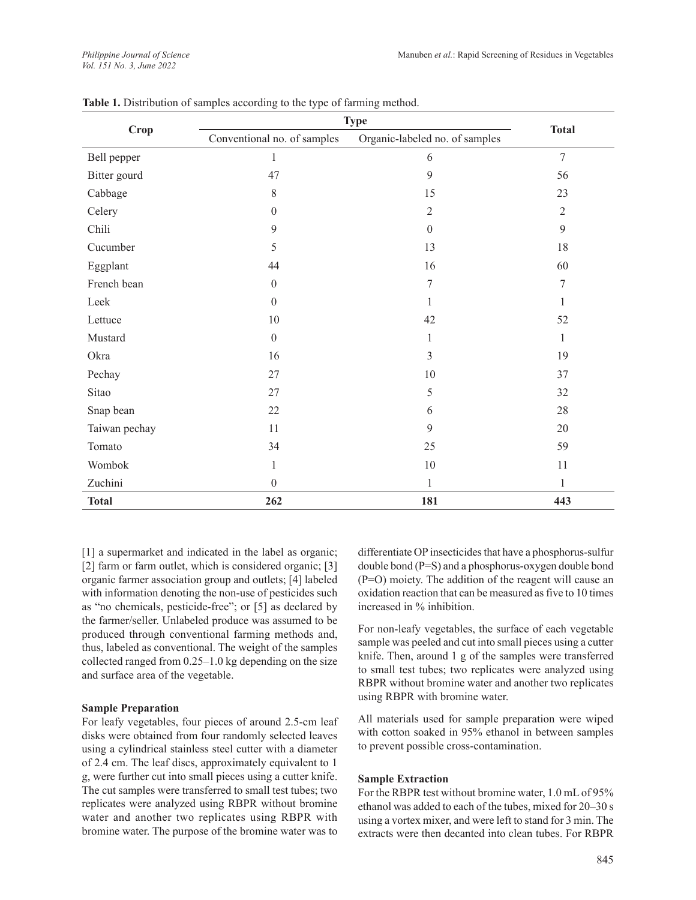| <b>Crop</b>   | <b>Type</b>                                                   |                  |                |  |
|---------------|---------------------------------------------------------------|------------------|----------------|--|
|               | Conventional no. of samples<br>Organic-labeled no. of samples |                  | <b>Total</b>   |  |
| Bell pepper   | $\mathbf{1}$                                                  | 6                | $\overline{7}$ |  |
| Bitter gourd  | 47                                                            | 9                | 56             |  |
| Cabbage       | 8                                                             | 15               | 23             |  |
| Celery        | $\boldsymbol{0}$                                              | $\mathfrak{2}$   | $\overline{2}$ |  |
| Chili         | $\mathbf{9}$                                                  | $\boldsymbol{0}$ | 9              |  |
| Cucumber      | 5                                                             | 13               | 18             |  |
| Eggplant      | 44                                                            | 16               | 60             |  |
| French bean   | $\boldsymbol{0}$                                              | 7                | $\tau$         |  |
| Leek          | $\theta$                                                      | 1                | 1              |  |
| Lettuce       | 10                                                            | 42               | 52             |  |
| Mustard       | $\overline{0}$                                                | 1                | $\mathbf{1}$   |  |
| Okra          | 16                                                            | $\overline{3}$   | 19             |  |
| Pechay        | 27                                                            | 10               | 37             |  |
| Sitao         | 27                                                            | 5                | 32             |  |
| Snap bean     | 22                                                            | 6                | 28             |  |
| Taiwan pechay | 11                                                            | 9                | 20             |  |
| Tomato        | 34                                                            | 25               | 59             |  |
| Wombok        | 10<br>$\mathbf{1}$                                            |                  | 11             |  |
| Zuchini       | $\theta$                                                      | $\mathbf{1}$     | $\mathbf{1}$   |  |
| <b>Total</b>  | 262                                                           | 181              | 443            |  |

Table 1. Distribution of samples according to the type of farming method.

[1] a supermarket and indicated in the label as organic; [2] farm or farm outlet, which is considered organic; [3] organic farmer association group and outlets; [4] labeled with information denoting the non-use of pesticides such as "no chemicals, pesticide-free"; or [5] as declared by the farmer/seller. Unlabeled produce was assumed to be produced through conventional farming methods and, thus, labeled as conventional. The weight of the samples collected ranged from 0.25–1.0 kg depending on the size and surface area of the vegetable.

#### **Sample Preparation**

For leafy vegetables, four pieces of around 2.5-cm leaf disks were obtained from four randomly selected leaves using a cylindrical stainless steel cutter with a diameter of 2.4 cm. The leaf discs, approximately equivalent to 1 g, were further cut into small pieces using a cutter knife. The cut samples were transferred to small test tubes; two replicates were analyzed using RBPR without bromine water and another two replicates using RBPR with bromine water. The purpose of the bromine water was to

differentiate OP insecticides that have a phosphorus-sulfur double bond (P=S) and a phosphorus-oxygen double bond (P=O) moiety. The addition of the reagent will cause an oxidation reaction that can be measured as five to 10 times increased in % inhibition.

For non-leafy vegetables, the surface of each vegetable sample was peeled and cut into small pieces using a cutter knife. Then, around 1 g of the samples were transferred to small test tubes; two replicates were analyzed using RBPR without bromine water and another two replicates using RBPR with bromine water.

All materials used for sample preparation were wiped with cotton soaked in 95% ethanol in between samples to prevent possible cross-contamination.

#### **Sample Extraction**

For the RBPR test without bromine water, 1.0 mL of 95% ethanol was added to each of the tubes, mixed for 20–30 s using a vortex mixer, and were left to stand for 3 min. The extracts were then decanted into clean tubes. For RBPR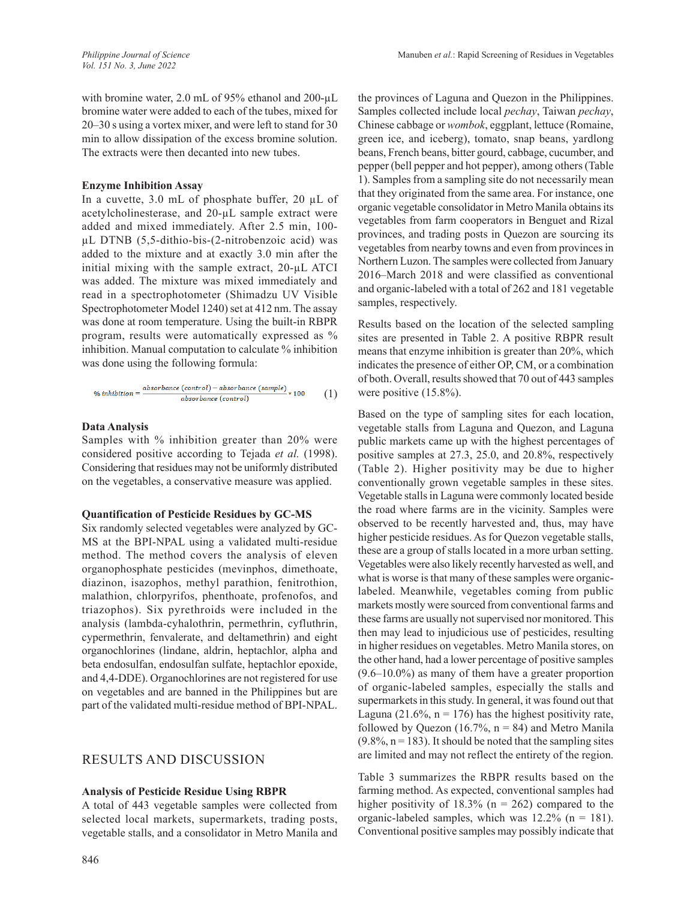with bromine water, 2.0 mL of 95% ethanol and 200-µL bromine water were added to each of the tubes, mixed for 20–30 s using a vortex mixer, and were left to stand for 30 min to allow dissipation of the excess bromine solution. The extracts were then decanted into new tubes.

#### **Enzyme Inhibition Assay**

In a cuvette, 3.0 mL of phosphate buffer, 20 µL of acetylcholinesterase, and 20-µL sample extract were added and mixed immediately. After 2.5 min, 100 µL DTNB (5,5-dithio-bis-(2-nitrobenzoic acid) was added to the mixture and at exactly 3.0 min after the initial mixing with the sample extract, 20-µL ATCI was added. The mixture was mixed immediately and read in a spectrophotometer (Shimadzu UV Visible Spectrophotometer Model 1240) set at 412 nm. The assay was done at room temperature. Using the built-in RBPR program, results were automatically expressed as % inhibition. Manual computation to calculate % inhibition was done using the following formula:

$$
\%~inhibition = \frac{absorbance~(control) - absorbance~(sample)}{absorbance~(control)} * 100 ~~(1)
$$

#### **Data Analysis**

Samples with % inhibition greater than 20% were considered positive according to Tejada *et al.* (1998). Considering that residues may not be uniformly distributed on the vegetables, a conservative measure was applied.

#### **Quantification of Pesticide Residues by GC-MS**

Six randomly selected vegetables were analyzed by GC-MS at the BPI-NPAL using a validated multi-residue method. The method covers the analysis of eleven organophosphate pesticides (mevinphos, dimethoate, diazinon, isazophos, methyl parathion, fenitrothion, malathion, chlorpyrifos, phenthoate, profenofos, and triazophos). Six pyrethroids were included in the analysis (lambda-cyhalothrin, permethrin, cyfluthrin, cypermethrin, fenvalerate, and deltamethrin) and eight organochlorines (lindane, aldrin, heptachlor, alpha and beta endosulfan, endosulfan sulfate, heptachlor epoxide, and 4,4-DDE). Organochlorines are not registered for use on vegetables and are banned in the Philippines but are part of the validated multi-residue method of BPI-NPAL.

### RESULTS AND DISCUSSION

#### **Analysis of Pesticide Residue Using RBPR**

A total of 443 vegetable samples were collected from selected local markets, supermarkets, trading posts, vegetable stalls, and a consolidator in Metro Manila and the provinces of Laguna and Quezon in the Philippines. Samples collected include local *pechay*, Taiwan *pechay*, Chinese cabbage or *wombok*, eggplant, lettuce (Romaine, green ice, and iceberg), tomato, snap beans, yardlong beans, French beans, bitter gourd, cabbage, cucumber, and pepper (bell pepper and hot pepper), among others (Table 1). Samples from a sampling site do not necessarily mean that they originated from the same area. For instance, one organic vegetable consolidator in Metro Manila obtains its vegetables from farm cooperators in Benguet and Rizal provinces, and trading posts in Quezon are sourcing its vegetables from nearby towns and even from provinces in Northern Luzon. The samples were collected from January 2016–March 2018 and were classified as conventional and organic-labeled with a total of 262 and 181 vegetable samples, respectively.

Results based on the location of the selected sampling sites are presented in Table 2. A positive RBPR result means that enzyme inhibition is greater than 20%, which indicates the presence of either OP, CM, or a combination of both. Overall, results showed that 70 out of 443 samples were positive (15.8%).

Based on the type of sampling sites for each location, vegetable stalls from Laguna and Quezon, and Laguna public markets came up with the highest percentages of positive samples at 27.3, 25.0, and 20.8%, respectively (Table 2). Higher positivity may be due to higher conventionally grown vegetable samples in these sites. Vegetable stalls in Laguna were commonly located beside the road where farms are in the vicinity. Samples were observed to be recently harvested and, thus, may have higher pesticide residues. As for Quezon vegetable stalls, these are a group of stalls located in a more urban setting. Vegetables were also likely recently harvested as well, and what is worse is that many of these samples were organiclabeled. Meanwhile, vegetables coming from public markets mostly were sourced from conventional farms and these farms are usually not supervised nor monitored. This then may lead to injudicious use of pesticides, resulting in higher residues on vegetables. Metro Manila stores, on the other hand, had a lower percentage of positive samples (9.6–10.0%) as many of them have a greater proportion of organic-labeled samples, especially the stalls and supermarkets in this study. In general, it was found out that Laguna (21.6%,  $n = 176$ ) has the highest positivity rate, followed by Quezon (16.7%,  $n = 84$ ) and Metro Manila  $(9.8\%, n = 183)$ . It should be noted that the sampling sites are limited and may not reflect the entirety of the region.

Table 3 summarizes the RBPR results based on the farming method. As expected, conventional samples had higher positivity of  $18.3\%$  (n = 262) compared to the organic-labeled samples, which was  $12.2\%$  (n = 181). Conventional positive samples may possibly indicate that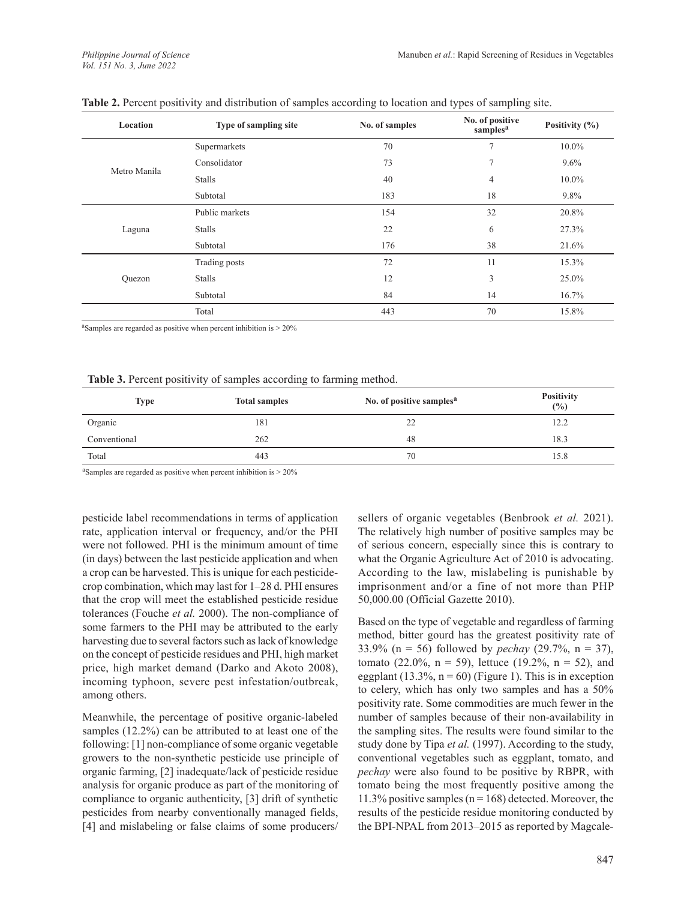| Location     | Type of sampling site | No. of samples | No. of positive<br>samples <sup>a</sup> | Positivity $(\% )$ |
|--------------|-----------------------|----------------|-----------------------------------------|--------------------|
|              | Supermarkets          | 70             | 7                                       | 10.0%              |
| Metro Manila | Consolidator          | 73             | 7                                       | 9.6%               |
|              | <b>Stalls</b>         | 40             | 4                                       | $10.0\%$           |
|              | Subtotal              | 183            | 18                                      | 9.8%               |
|              | Public markets        | 154            | 32                                      | 20.8%              |
| Laguna       | <b>Stalls</b>         | 22             | 6                                       | 27.3%              |
|              | Subtotal              | 176            | 38                                      | 21.6%              |
|              | Trading posts         | 72             | 11                                      | 15.3%              |
| Quezon       | Stalls                | 12             | 3                                       | 25.0%              |
|              | Subtotal              | 84             | 14                                      | 16.7%              |
|              | Total                 | 443            | 70                                      | 15.8%              |

aSamples are regarded as positive when percent inhibition is > 20%

#### **Table 3.** Percent positivity of samples according to farming method.

| <b>Type</b>  | <b>Total samples</b> | No. of positive samples <sup>a</sup> | <b>Positivity</b><br>(%) |
|--------------|----------------------|--------------------------------------|--------------------------|
| Organic      | 181                  | 22                                   | 12.2                     |
| Conventional | 262                  | 48                                   | 18.3                     |
| Total        | 443                  | 70                                   | 15.8                     |

<sup>a</sup>Samples are regarded as positive when percent inhibition is  $> 20\%$ 

pesticide label recommendations in terms of application rate, application interval or frequency, and/or the PHI were not followed. PHI is the minimum amount of time (in days) between the last pesticide application and when a crop can be harvested. This is unique for each pesticidecrop combination, which may last for 1–28 d. PHI ensures that the crop will meet the established pesticide residue tolerances (Fouche *et al.* 2000). The non-compliance of some farmers to the PHI may be attributed to the early harvesting due to several factors such as lack of knowledge on the concept of pesticide residues and PHI, high market price, high market demand (Darko and Akoto 2008), incoming typhoon, severe pest infestation/outbreak, among others.

Meanwhile, the percentage of positive organic-labeled samples (12.2%) can be attributed to at least one of the following: [1] non-compliance of some organic vegetable growers to the non-synthetic pesticide use principle of organic farming, [2] inadequate/lack of pesticide residue analysis for organic produce as part of the monitoring of compliance to organic authenticity, [3] drift of synthetic pesticides from nearby conventionally managed fields, [4] and mislabeling or false claims of some producers/

sellers of organic vegetables (Benbrook *et al.* 2021). The relatively high number of positive samples may be of serious concern, especially since this is contrary to what the Organic Agriculture Act of 2010 is advocating. According to the law, mislabeling is punishable by imprisonment and/or a fine of not more than PHP 50,000.00 (Official Gazette 2010).

Based on the type of vegetable and regardless of farming method, bitter gourd has the greatest positivity rate of 33.9% (n = 56) followed by *pechay* (29.7%, n = 37), tomato (22.0%,  $n = 59$ ), lettuce (19.2%,  $n = 52$ ), and eggplant (13.3%,  $n = 60$ ) (Figure 1). This is in exception to celery, which has only two samples and has a 50% positivity rate. Some commodities are much fewer in the number of samples because of their non-availability in the sampling sites. The results were found similar to the study done by Tipa *et al.* (1997). According to the study, conventional vegetables such as eggplant, tomato, and *pechay* were also found to be positive by RBPR, with tomato being the most frequently positive among the 11.3% positive samples ( $n = 168$ ) detected. Moreover, the results of the pesticide residue monitoring conducted by the BPI-NPAL from 2013–2015 as reported by Magcale-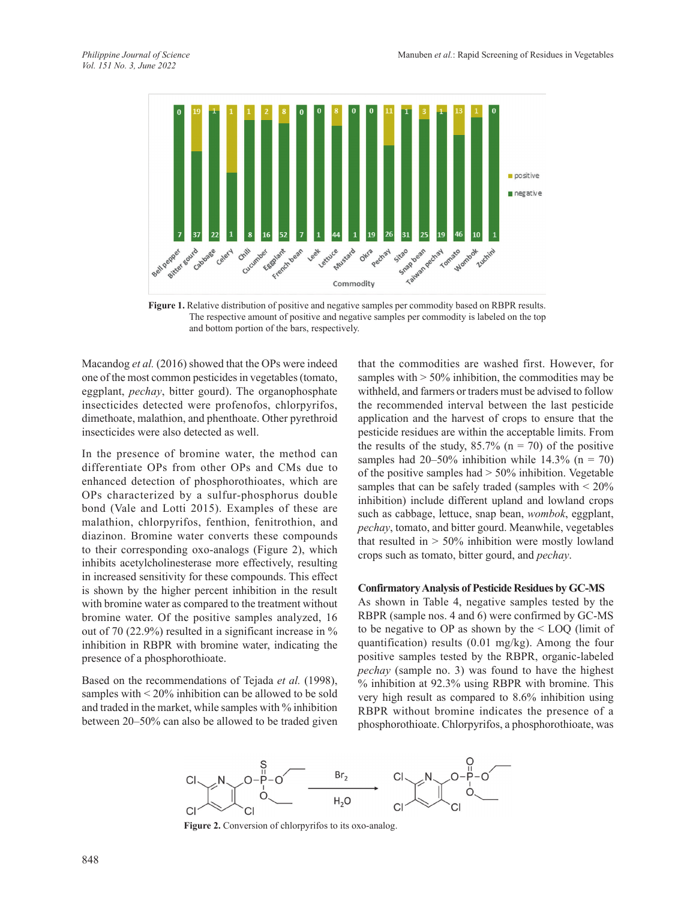

**Figure 1.** Relative distribution of positive and negative samples per commodity based on RBPR results. The respective amount of positive and negative samples per commodity is labeled on the top and bottom portion of the bars, respectively.

Macandog *et al.* (2016) showed that the OPs were indeed one of the most common pesticides in vegetables (tomato, eggplant, *pechay*, bitter gourd). The organophosphate insecticides detected were profenofos, chlorpyrifos, dimethoate, malathion, and phenthoate. Other pyrethroid insecticides were also detected as well.

In the presence of bromine water, the method can differentiate OPs from other OPs and CMs due to enhanced detection of phosphorothioates, which are OPs characterized by a sulfur-phosphorus double bond (Vale and Lotti 2015). Examples of these are malathion, chlorpyrifos, fenthion, fenitrothion, and diazinon. Bromine water converts these compounds to their corresponding oxo-analogs (Figure 2), which inhibits acetylcholinesterase more effectively, resulting in increased sensitivity for these compounds. This effect is shown by the higher percent inhibition in the result with bromine water as compared to the treatment without bromine water. Of the positive samples analyzed, 16 out of 70 (22.9%) resulted in a significant increase in % inhibition in RBPR with bromine water, indicating the presence of a phosphorothioate.

Based on the recommendations of Tejada *et al.* (1998), samples with < 20% inhibition can be allowed to be sold and traded in the market, while samples with % inhibition between 20–50% can also be allowed to be traded given

that the commodities are washed first. However, for samples with  $> 50\%$  inhibition, the commodities may be withheld, and farmers or traders must be advised to follow the recommended interval between the last pesticide application and the harvest of crops to ensure that the pesticide residues are within the acceptable limits. From the results of the study,  $85.7\%$  (n = 70) of the positive samples had 20–50% inhibition while 14.3% ( $n = 70$ ) of the positive samples had  $> 50\%$  inhibition. Vegetable samples that can be safely traded (samples with < 20% inhibition) include different upland and lowland crops such as cabbage, lettuce, snap bean, *wombok*, eggplant, *pechay*, tomato, and bitter gourd. Meanwhile, vegetables that resulted in  $> 50\%$  inhibition were mostly lowland crops such as tomato, bitter gourd, and *pechay*.

#### **Confirmatory Analysis of Pesticide Residues by GC-MS**

As shown in Table 4, negative samples tested by the RBPR (sample nos. 4 and 6) were confirmed by GC-MS to be negative to OP as shown by the < LOQ (limit of quantification) results (0.01 mg/kg). Among the four positive samples tested by the RBPR, organic-labeled *pechay* (sample no. 3) was found to have the highest % inhibition at 92.3% using RBPR with bromine. This very high result as compared to 8.6% inhibition using RBPR without bromine indicates the presence of a phosphorothioate. Chlorpyrifos, a phosphorothioate, was



Figure 2. Conversion of chlorpyrifos to its oxo-analog.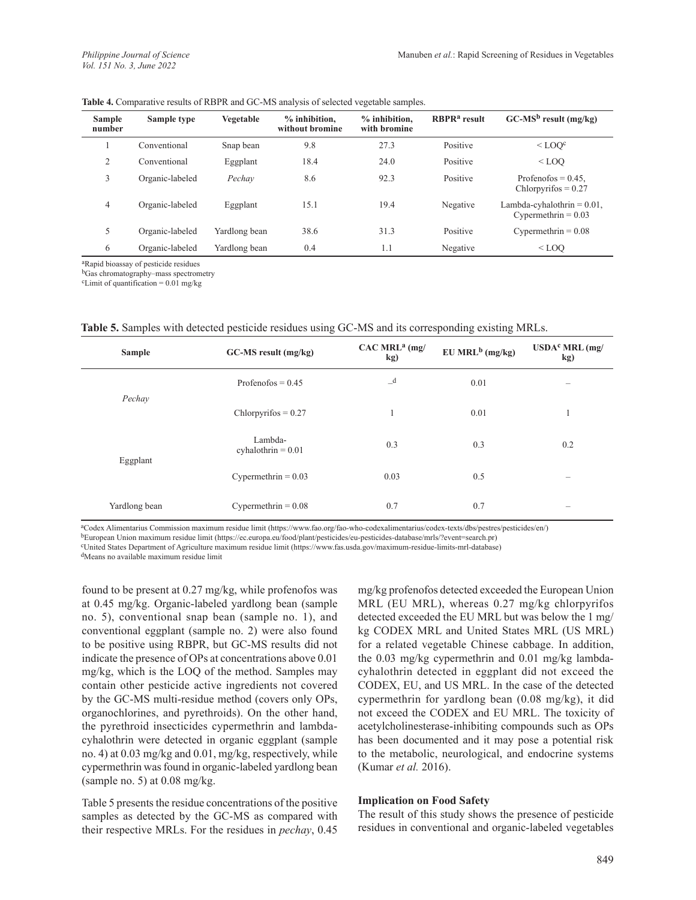| <b>Sample</b><br>number | Sample type     | Vegetable     | $%$ inhibition,<br>without bromine | $%$ inhibition.<br>with bromine | RBPR <sup>a</sup> result | $GC-MS^b$ result (mg/kg)                               |
|-------------------------|-----------------|---------------|------------------------------------|---------------------------------|--------------------------|--------------------------------------------------------|
|                         | Conventional    | Snap bean     | 9.8                                | 27.3                            | Positive                 | $<$ LOO $\rm ^{c}$                                     |
| 2                       | Conventional    | Eggplant      | 18.4                               | 24.0                            | Positive                 | $<$ LOO                                                |
| 3                       | Organic-labeled | Pechav        | 8.6                                | 92.3                            | Positive                 | Profenofos = $0.45$ .<br>$Chlorpyrifos = 0.27$         |
| 4                       | Organic-labeled | Eggplant      | 15.1                               | 19.4                            | Negative                 | Lambda-cyhalothrin $= 0.01$ ,<br>Cypermethrin = $0.03$ |
| 5                       | Organic-labeled | Yardlong bean | 38.6                               | 31.3                            | Positive                 | Cypermethrin = $0.08$                                  |
| 6                       | Organic-labeled | Yardlong bean | 0.4                                | 1.1                             | Negative                 | $<$ LOO                                                |

**Table 4.** Comparative results of RBPR and GC-MS analysis of selected vegetable samples.

aRapid bioassay of pesticide residues

bGas chromatography–mass spectrometry

 $c$ Limit of quantification = 0.01 mg/kg

**Table 5.** Samples with detected pesticide residues using GC-MS and its corresponding existing MRLs.

| <b>Sample</b> | GC-MS result (mg/kg)            | $CAC MRLa$ (mg/<br>kg) | $EU$ MRL <sup>b</sup> (mg/kg) | $USDAc MRL$ (mg/<br>kg) |
|---------------|---------------------------------|------------------------|-------------------------------|-------------------------|
|               | Profenofos = $0.45$             | $\mathbf{d}$           | 0.01                          | $\sim$                  |
| Pechay        | Chlorpyrifos $= 0.27$           |                        | 0.01                          | -1                      |
| Eggplant      | Lambda-<br>cyhalothrin = $0.01$ | 0.3                    | 0.3                           | 0.2                     |
|               | Cypermethrin = $0.03$           | 0.03                   | 0.5                           | $\hspace{0.05cm}$       |
| Yardlong bean | Cypermethrin = $0.08$           | 0.7                    | 0.7                           | $\sim$                  |

aCodex Alimentarius Commission maximum residue limit (https://www.fao.org/fao-who-codexalimentarius/codex-texts/dbs/pestres/pesticides/en/)

bEuropean Union maximum residue limit (https://ec.europa.eu/food/plant/pesticides/eu-pesticides-database/mrls/?event=search.pr)

cUnited States Department of Agriculture maximum residue limit (https://www.fas.usda.gov/maximum-residue-limits-mrl-database)

dMeans no available maximum residue limit

found to be present at 0.27 mg/kg, while profenofos was at 0.45 mg/kg. Organic-labeled yardlong bean (sample no. 5), conventional snap bean (sample no. 1), and conventional eggplant (sample no. 2) were also found to be positive using RBPR, but GC-MS results did not indicate the presence of OPs at concentrations above 0.01 mg/kg, which is the LOQ of the method. Samples may contain other pesticide active ingredients not covered by the GC-MS multi-residue method (covers only OPs, organochlorines, and pyrethroids). On the other hand, the pyrethroid insecticides cypermethrin and lambdacyhalothrin were detected in organic eggplant (sample no. 4) at 0.03 mg/kg and 0.01, mg/kg, respectively, while cypermethrin was found in organic-labeled yardlong bean (sample no. 5) at 0.08 mg/kg.

Table 5 presents the residue concentrations of the positive samples as detected by the GC-MS as compared with their respective MRLs. For the residues in *pechay*, 0.45 mg/kg profenofos detected exceeded the European Union MRL (EU MRL), whereas 0.27 mg/kg chlorpyrifos detected exceeded the EU MRL but was below the 1 mg/ kg CODEX MRL and United States MRL (US MRL) for a related vegetable Chinese cabbage. In addition, the 0.03 mg/kg cypermethrin and 0.01 mg/kg lambdacyhalothrin detected in eggplant did not exceed the CODEX, EU, and US MRL. In the case of the detected cypermethrin for yardlong bean (0.08 mg/kg), it did not exceed the CODEX and EU MRL. The toxicity of acetylcholinesterase-inhibiting compounds such as OPs has been documented and it may pose a potential risk to the metabolic, neurological, and endocrine systems (Kumar *et al.* 2016).

#### **Implication on Food Safety**

The result of this study shows the presence of pesticide residues in conventional and organic-labeled vegetables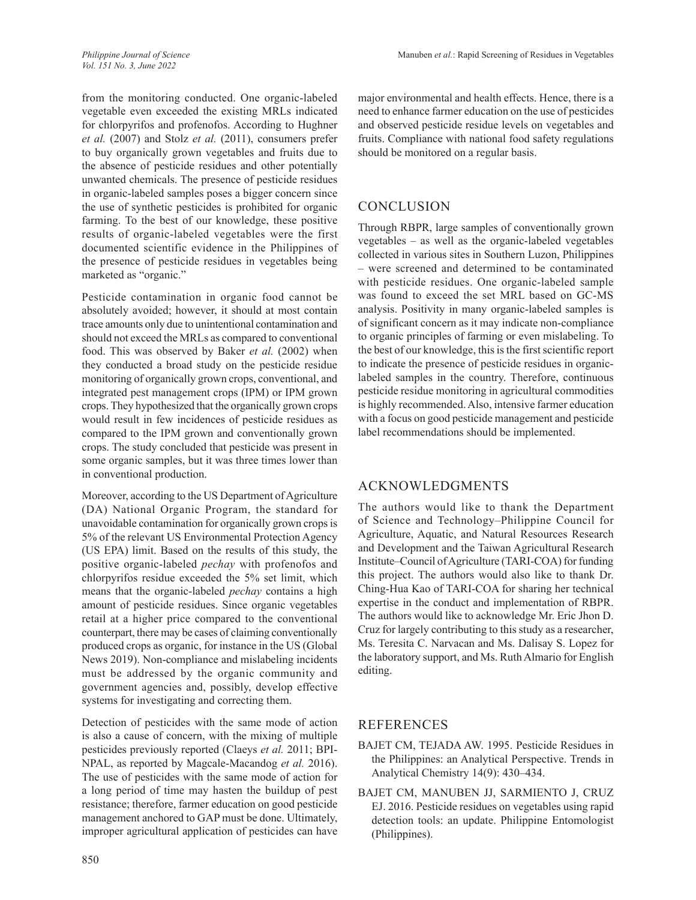from the monitoring conducted. One organic-labeled vegetable even exceeded the existing MRLs indicated for chlorpyrifos and profenofos. According to Hughner *et al.* (2007) and Stolz *et al.* (2011), consumers prefer to buy organically grown vegetables and fruits due to the absence of pesticide residues and other potentially unwanted chemicals. The presence of pesticide residues in organic-labeled samples poses a bigger concern since the use of synthetic pesticides is prohibited for organic farming. To the best of our knowledge, these positive results of organic-labeled vegetables were the first documented scientific evidence in the Philippines of the presence of pesticide residues in vegetables being marketed as "organic."

Pesticide contamination in organic food cannot be absolutely avoided; however, it should at most contain trace amounts only due to unintentional contamination and should not exceed the MRLs as compared to conventional food. This was observed by Baker *et al.* (2002) when they conducted a broad study on the pesticide residue monitoring of organically grown crops, conventional, and integrated pest management crops (IPM) or IPM grown crops. They hypothesized that the organically grown crops would result in few incidences of pesticide residues as compared to the IPM grown and conventionally grown crops. The study concluded that pesticide was present in some organic samples, but it was three times lower than in conventional production.

Moreover, according to the US Department of Agriculture (DA) National Organic Program, the standard for unavoidable contamination for organically grown crops is 5% of the relevant US Environmental Protection Agency (US EPA) limit. Based on the results of this study, the positive organic-labeled *pechay* with profenofos and chlorpyrifos residue exceeded the 5% set limit, which means that the organic-labeled *pechay* contains a high amount of pesticide residues. Since organic vegetables retail at a higher price compared to the conventional counterpart, there may be cases of claiming conventionally produced crops as organic, for instance in the US (Global News 2019). Non-compliance and mislabeling incidents must be addressed by the organic community and government agencies and, possibly, develop effective systems for investigating and correcting them.

Detection of pesticides with the same mode of action is also a cause of concern, with the mixing of multiple pesticides previously reported (Claeys *et al.* 2011; BPI-NPAL, as reported by Magcale-Macandog *et al.* 2016). The use of pesticides with the same mode of action for a long period of time may hasten the buildup of pest resistance; therefore, farmer education on good pesticide management anchored to GAP must be done. Ultimately, improper agricultural application of pesticides can have major environmental and health effects. Hence, there is a need to enhance farmer education on the use of pesticides and observed pesticide residue levels on vegetables and fruits. Compliance with national food safety regulations should be monitored on a regular basis.

# CONCLUSION

Through RBPR, large samples of conventionally grown vegetables – as well as the organic-labeled vegetables collected in various sites in Southern Luzon, Philippines – were screened and determined to be contaminated with pesticide residues. One organic-labeled sample was found to exceed the set MRL based on GC-MS analysis. Positivity in many organic-labeled samples is of significant concern as it may indicate non-compliance to organic principles of farming or even mislabeling. To the best of our knowledge, this is the first scientific report to indicate the presence of pesticide residues in organiclabeled samples in the country. Therefore, continuous pesticide residue monitoring in agricultural commodities is highly recommended. Also, intensive farmer education with a focus on good pesticide management and pesticide label recommendations should be implemented.

# ACKNOWLEDGMENTS

The authors would like to thank the Department of Science and Technology–Philippine Council for Agriculture, Aquatic, and Natural Resources Research and Development and the Taiwan Agricultural Research Institute–Council of Agriculture (TARI-COA) for funding this project. The authors would also like to thank Dr. Ching-Hua Kao of TARI-COA for sharing her technical expertise in the conduct and implementation of RBPR. The authors would like to acknowledge Mr. Eric Jhon D. Cruz for largely contributing to this study as a researcher, Ms. Teresita C. Narvacan and Ms. Dalisay S. Lopez for the laboratory support, and Ms. Ruth Almario for English editing.

# **REFERENCES**

- BAJET CM, TEJADA AW. 1995. Pesticide Residues in the Philippines: an Analytical Perspective. Trends in Analytical Chemistry 14(9): 430–434.
- BAJET CM, MANUBEN JJ, SARMIENTO J, CRUZ EJ. 2016. Pesticide residues on vegetables using rapid detection tools: an update. Philippine Entomologist (Philippines).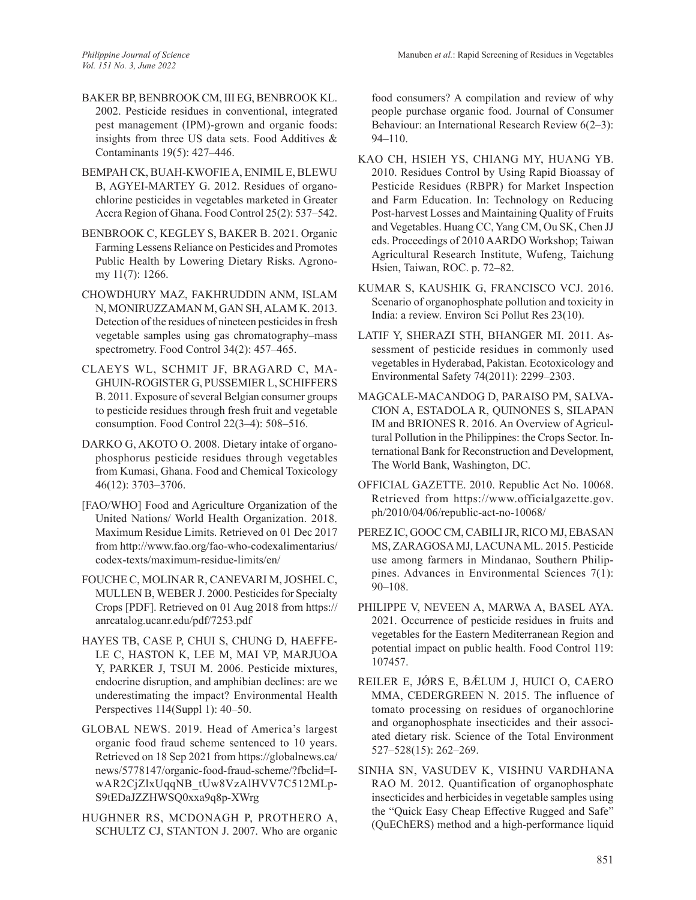- BAKER BP, BENBROOK CM, III EG, BENBROOK KL. 2002. Pesticide residues in conventional, integrated pest management (IPM)-grown and organic foods: insights from three US data sets. Food Additives & Contaminants 19(5): 427–446.
- BEMPAH CK, BUAH-KWOFIE A, ENIMIL E, BLEWU B, AGYEI-MARTEY G. 2012. Residues of organochlorine pesticides in vegetables marketed in Greater Accra Region of Ghana. Food Control 25(2): 537–542.
- BENBROOK C, KEGLEY S, BAKER B. 2021. Organic Farming Lessens Reliance on Pesticides and Promotes Public Health by Lowering Dietary Risks. Agronomy 11(7): 1266.
- CHOWDHURY MAZ, FAKHRUDDIN ANM, ISLAM N, MONIRUZZAMAN M, GAN SH, ALAM K. 2013. Detection of the residues of nineteen pesticides in fresh vegetable samples using gas chromatography–mass spectrometry. Food Control 34(2): 457–465.
- CLAEYS WL, SCHMIT JF, BRAGARD C, MA-GHUIN-ROGISTER G, PUSSEMIER L, SCHIFFERS B. 2011. Exposure of several Belgian consumer groups to pesticide residues through fresh fruit and vegetable consumption. Food Control 22(3–4): 508–516.
- DARKO G, AKOTO O. 2008. Dietary intake of organophosphorus pesticide residues through vegetables from Kumasi, Ghana. Food and Chemical Toxicology 46(12): 3703–3706.
- [FAO/WHO] Food and Agriculture Organization of the United Nations/ World Health Organization. 2018. Maximum Residue Limits. Retrieved on 01 Dec 2017 from http://www.fao.org/fao-who-codexalimentarius/ codex-texts/maximum-residue-limits/en/
- FOUCHE C, MOLINAR R, CANEVARI M, JOSHEL C, MULLEN B, WEBER J. 2000. Pesticides for Specialty Crops [PDF]. Retrieved on 01 Aug 2018 from https:// anrcatalog.ucanr.edu/pdf/7253.pdf
- HAYES TB, CASE P, CHUI S, CHUNG D, HAEFFE-LE C, HASTON K, LEE M, MAI VP, MARJUOA Y, PARKER J, TSUI M. 2006. Pesticide mixtures, endocrine disruption, and amphibian declines: are we underestimating the impact? Environmental Health Perspectives 114(Suppl 1): 40–50.
- GLOBAL NEWS. 2019. Head of America's largest organic food fraud scheme sentenced to 10 years. Retrieved on 18 Sep 2021 from https://globalnews.ca/ news/5778147/organic-food-fraud-scheme/?fbclid=IwAR2CjZlxUqqNB\_tUw8VzAlHVV7C512MLp-S9tEDaJZZHWSQ0xxa9q8p-XWrg
- HUGHNER RS, MCDONAGH P, PROTHERO A, SCHULTZ CJ, STANTON J. 2007. Who are organic

food consumers? A compilation and review of why people purchase organic food. Journal of Consumer Behaviour: an International Research Review 6(2–3): 94–110.

- KAO CH, HSIEH YS, CHIANG MY, HUANG YB. 2010. Residues Control by Using Rapid Bioassay of Pesticide Residues (RBPR) for Market Inspection and Farm Education. In: Technology on Reducing Post-harvest Losses and Maintaining Quality of Fruits and Vegetables. Huang CC, Yang CM, Ou SK, Chen JJ eds. Proceedings of 2010 AARDO Workshop; Taiwan Agricultural Research Institute, Wufeng, Taichung Hsien, Taiwan, ROC. p. 72–82.
- KUMAR S, KAUSHIK G, FRANCISCO VCJ. 2016. Scenario of organophosphate pollution and toxicity in India: a review. Environ Sci Pollut Res 23(10).
- LATIF Y, SHERAZI STH, BHANGER MI. 2011. Assessment of pesticide residues in commonly used vegetables in Hyderabad, Pakistan. Ecotoxicology and Environmental Safety 74(2011): 2299–2303.
- MAGCALE-MACANDOG D, PARAISO PM, SALVA-CION A, ESTADOLA R, QUINONES S, SILAPAN IM and BRIONES R. 2016. An Overview of Agricultural Pollution in the Philippines: the Crops Sector. International Bank for Reconstruction and Development, The World Bank, Washington, DC.
- OFFICIAL GAZETTE. 2010. Republic Act No. 10068. Retrieved from https://www.officialgazette.gov. ph/2010/04/06/republic-act-no-10068/
- PEREZ IC, GOOC CM, CABILI JR, RICO MJ, EBASAN MS, ZARAGOSA MJ, LACUNA ML. 2015. Pesticide use among farmers in Mindanao, Southern Philippines. Advances in Environmental Sciences 7(1): 90–108.
- PHILIPPE V, NEVEEN A, MARWA A, BASEL AYA. 2021. Occurrence of pesticide residues in fruits and vegetables for the Eastern Mediterranean Region and potential impact on public health. Food Control 119: 107457.
- REILER E, JÓRS E, BÁLUM J, HUICI O, CAERO MMA, CEDERGREEN N. 2015. The influence of tomato processing on residues of organochlorine and organophosphate insecticides and their associated dietary risk. Science of the Total Environment 527–528(15): 262–269.
- SINHA SN, VASUDEV K, VISHNU VARDHANA RAO M. 2012. Quantification of organophosphate insecticides and herbicides in vegetable samples using the "Quick Easy Cheap Effective Rugged and Safe" (QuEChERS) method and a high-performance liquid